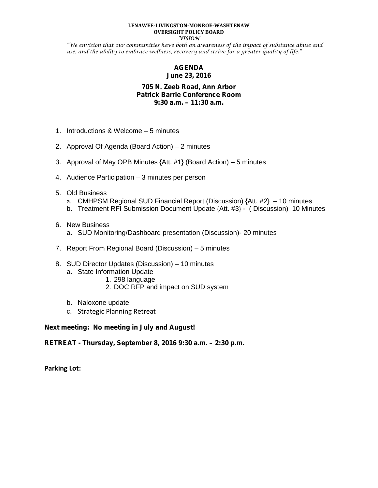### **LENAWEE-LIVINGSTON-MONROE-WASHTENAW OVERSIGHT POLICY BOARD VISION**

"We envision that our communities have both an awareness of the impact of substance abuse and use, and the ability to embrace wellness, recovery and strive for a greater quality of life."

# **AGENDA June 23, 2016**

## **705 N. Zeeb Road, Ann Arbor Patrick Barrie Conference Room 9:30 a.m. – 11:30 a.m.**

- 1. Introductions & Welcome 5 minutes
- 2. Approval Of Agenda (Board Action) 2 minutes
- 3. Approval of May OPB Minutes {Att. #1} (Board Action) 5 minutes
- 4. Audience Participation 3 minutes per person
- 5. Old Business
	- a. CMHPSM Regional SUD Financial Report (Discussion) {Att. #2} 10 minutes
	- b. Treatment RFI Submission Document Update {Att. #3} ( Discussion) 10 Minutes
- 6. New Business
	- a. SUD Monitoring/Dashboard presentation (Discussion)- 20 minutes
- 7. Report From Regional Board (Discussion) 5 minutes
- 8. SUD Director Updates (Discussion) 10 minutes
	- a. State Information Update
		- 1. 298 language
		- 2. DOC RFP and impact on SUD system
	- b. Naloxone update
	- c. Strategic Planning Retreat

**Next meeting:** *No meeting in July and August!*

*RETREAT - Thursday***, September 8, 2016 9:30 a.m. – 2:30 p.m.**

**Parking Lot:**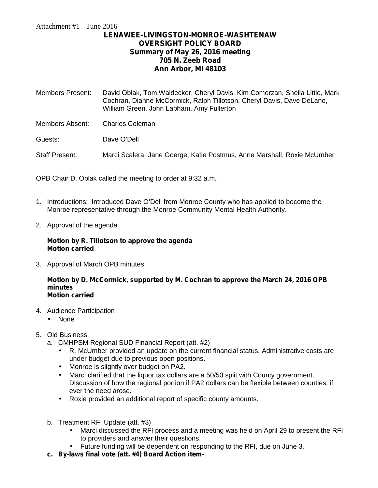# **LENAWEE-LIVINGSTON-MONROE-WASHTENAW OVERSIGHT POLICY BOARD Summary of May 26, 2016 meeting 705 N. Zeeb Road Ann Arbor, MI 48103**

| <b>Members Present:</b> | David Oblak, Tom Waldecker, Cheryl Davis, Kim Comerzan, Sheila Little, Mark<br>Cochran, Dianne McCormick, Ralph Tillotson, Cheryl Davis, Dave DeLano,<br>William Green, John Lapham, Amy Fullerton |
|-------------------------|----------------------------------------------------------------------------------------------------------------------------------------------------------------------------------------------------|
| Members Absent:         | <b>Charles Coleman</b>                                                                                                                                                                             |
| Guests:                 | Dave O'Dell                                                                                                                                                                                        |
| Staff Present:          | Marci Scalera, Jane Goerge, Katie Postmus, Anne Marshall, Roxie McUmber                                                                                                                            |
|                         |                                                                                                                                                                                                    |

OPB Chair D. Oblak called the meeting to order at 9:32 a.m.

- 1. Introductions: Introduced Dave O'Dell from Monroe County who has applied to become the Monroe representative through the Monroe Community Mental Health Authority.
- 2. Approval of the agenda

## **Motion by R. Tillotson to approve the agenda Motion carried**

3. Approval of March OPB minutes

### **Motion by D. McCormick, supported by M. Cochran to approve the March 24, 2016 OPB minutes Motion carried**

- 4. Audience Participation
	- None
- 5. Old Business
	- a. CMHPSM Regional SUD Financial Report (att. #2)
		- R. McUmber provided an update on the current financial status. Administrative costs are under budget due to previous open positions.
		- Monroe is slightly over budget on PA2.
		- Marci clarified that the liquor tax dollars are a 50/50 split with County government. Discussion of how the regional portion if PA2 dollars can be flexible between counties, if ever the need arose.
		- Roxie provided an additional report of specific county amounts.
	- b. Treatment RFI Update (att. #3)
		- Marci discussed the RFI process and a meeting was held on April 29 to present the RFI to providers and answer their questions.
		- Future funding will be dependent on responding to the RFI, due on June 3.
	- **c. By-laws final vote (att. #4) Board Action item-**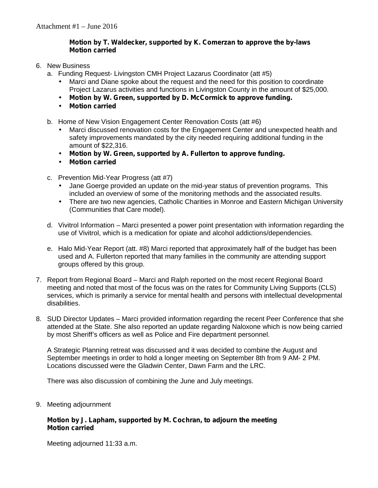# **Motion by T. Waldecker, supported by K. Comerzan to approve the by-laws Motion carried**

- 6. New Business
	- a. Funding Request- Livingston CMH Project Lazarus Coordinator (att #5)
		- Marci and Diane spoke about the request and the need for this position to coordinate Project Lazarus activities and functions in Livingston County in the amount of \$25,000.
		- **Motion by W. Green, supported by D. McCormick to approve funding.**
		- **Motion carried**
	- b. Home of New Vision Engagement Center Renovation Costs (att #6)
		- Marci discussed renovation costs for the Engagement Center and unexpected health and safety improvements mandated by the city needed requiring additional funding in the amount of \$22,316.
		- **Motion by W. Green, supported by A. Fullerton to approve funding.**
		- **Motion carried**
	- c. Prevention Mid-Year Progress (att #7)
		- Jane Goerge provided an update on the mid-year status of prevention programs. This included an overview of some of the monitoring methods and the associated results.
		- There are two new agencies, Catholic Charities in Monroe and Eastern Michigan University (Communities that Care model).
	- d. Vivitrol Information Marci presented a power point presentation with information regarding the use of Vivitrol, which is a medication for opiate and alcohol addictions/dependencies.
	- e. Halo Mid-Year Report (att. #8) Marci reported that approximately half of the budget has been used and A. Fullerton reported that many families in the community are attending support groups offered by this group.
- 7. Report from Regional Board Marci and Ralph reported on the most recent Regional Board meeting and noted that most of the focus was on the rates for Community Living Supports (CLS) services, which is primarily a service for mental health and persons with intellectual developmental disabilities.
- 8. SUD Director Updates Marci provided information regarding the recent Peer Conference that she attended at the State. She also reported an update regarding Naloxone which is now being carried by most Sheriff's officers as well as Police and Fire department personnel.

A Strategic Planning retreat was discussed and it was decided to combine the August and September meetings in order to hold a longer meeting on September 8th from 9 AM- 2 PM. Locations discussed were the Gladwin Center, Dawn Farm and the LRC.

There was also discussion of combining the June and July meetings.

9. Meeting adjournment

## **Motion by J. Lapham, supported by M. Cochran, to adjourn the meeting Motion carried**

Meeting adjourned 11:33 a.m.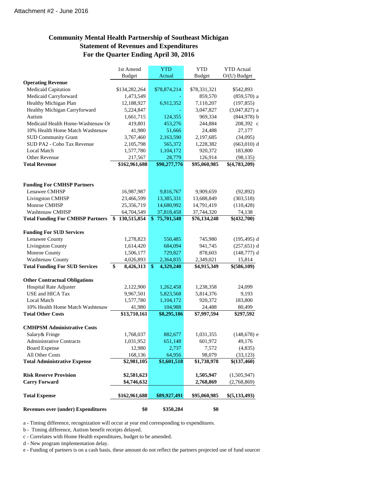# **Community Mental Health Partnership of Southeast Michigan Statement of Revenues and Expenditures For the Quarter Ending April 30, 2016**

|                                           | 1st Amend           | <b>YTD</b>      | <b>YTD</b>       | <b>YTD</b> Actual  |
|-------------------------------------------|---------------------|-----------------|------------------|--------------------|
|                                           | <b>Budget</b>       | Actual          | <b>Budget</b>    | $O/(U)$ Budget     |
| <b>Operating Revenue</b>                  |                     |                 |                  |                    |
| Medicaid Capitation                       | \$134,282,264       | \$78,874,214    | \$78,331,321     | \$542,893          |
| Medicaid Carryforward                     | 1,473,549           |                 | 859,570          | $(859, 570)$ a     |
| Healthy Michigan Plan                     | 12,188,927          | 6,912,352       | 7,110,207        | (197, 855)         |
| Healthy Michigan Carryforward             | 5,224,847           |                 | 3,047,827        | $(3,047,827)$ a    |
| Autism                                    | 1,661,715           | 124,355         | 969,334          | $(844, 978)$ b     |
| Medicaid Health Home-Washtenaw Or         | 419,801             | 453,276         | 244,884          | 208,392 c          |
| 10% Health Home Match Washtenaw           | 41,980              | 51,666          | 24,488           | 27,177             |
| <b>SUD Community Grant</b>                | 3,767,460           | 2,163,590       | 2,197,685        | (34,095)           |
| SUD PA2 - Cobo Tax Revenue                | 2,105,798           | 565,372         | 1,228,382        | $(663,010)$ d      |
| <b>Local Match</b>                        | 1,577,780           | 1,104,172       | 920,372          | 183,800            |
| Other Revenue                             | 217,567             | 28,779          | 126,914          | (98, 135)          |
| <b>Total Revenue</b>                      | \$162,961,688       | \$90,277,776    | \$95,060,985     | \$(4,783,209)      |
|                                           |                     |                 |                  |                    |
| <b>Funding For CMHSP Partners</b>         |                     |                 |                  |                    |
| Lenawee CMHSP                             | 16,987,987          | 9,816,767       | 9,909,659        | (92, 892)          |
| Livingston CMHSP                          | 23,466,599          | 13,385,331      | 13,688,849       | (303,518)          |
| Monroe CMHSP                              | 25,356,719          | 14,680,992      | 14,791,419       | (110, 428)         |
| <b>Washtenaw CMHSP</b>                    | 64,704,549          | 37,818,458      | 37,744,320       | 74,138             |
| Total Funding For CMHSP Partners \$       | 130,515,854         | \$75,701,548    | \$76,134,248     | \$(432,700)        |
| <b>Funding For SUD Services</b>           |                     |                 |                  |                    |
| Lenawee County                            | 1,278,823           | 550,485         | 745,980          | $(195, 495)$ d     |
| <b>Livingston County</b>                  | 1,614,420           | 684,094         | 941,745          | $(257, 651)$ d     |
| Monroe County                             | 1,506,177           | 729,827         | 878,603          | $(148,777)$ d      |
| <b>Washtenaw County</b>                   | 4,026,893           | 2,364,835       | 2,349,021        | 15,814             |
| <b>Total Funding For SUD Services</b>     | \$<br>8,426,313     | \$<br>4,329,240 | \$4,915,349      | \$(586,109)        |
| <b>Other Contractual Obligations</b>      |                     |                 |                  |                    |
| Hospital Rate Adjuster                    | 2,122,900           | 1,262,458       | 1,238,358        | 24,099             |
| USE and HICA Tax                          | 9,967,501           | 5,823,568       | 5,814,376        | 9,193              |
| <b>Local Match</b>                        | 1,577,780           | 1,104,172       | 920,372          | 183,800            |
| 10% Health Home Match Washtenaw           | 41,980              | 104,988         | 24,488           | 80,499             |
| <b>Total Other Costs</b>                  | \$13,710,161        | \$8,295,186     | \$7,997,594      | \$297,592          |
|                                           |                     |                 |                  |                    |
| <b>CMHPSM Administrative Costs</b>        |                     |                 |                  |                    |
| Salary & Fringe                           | 1,768,037           | 882,677         | 1,031,355        | $(148, 678)$ e     |
| <b>Administrative Contracts</b>           | 1,031,952<br>12,980 | 651,148         | 601,972<br>7,572 | 49,176<br>(4, 835) |
| <b>Board Expense</b><br>All Other Costs   | 168,136             | 2,737           | 98,079           |                    |
|                                           |                     | 64,956          |                  | (33, 123)          |
| <b>Total Administrative Expense</b>       | \$2,981,105         | \$1,601,518     | \$1,738,978      | \$(137,460)        |
| <b>Risk Reserve Provision</b>             | \$2,581,623         |                 | 1,505,947        | (1,505,947)        |
| <b>Carry Forward</b>                      | \$4,746,632         |                 | 2,768,869        | (2,768,869)        |
| <b>Total Expense</b>                      | \$162,961,688       | \$89,927,491    | \$95,060,985     | \$(5,133,493)      |
| <b>Revenues over (under) Expenditures</b> | \$0                 | \$350,284       | \$0              |                    |
|                                           |                     |                 |                  |                    |

a - Timing difference, recognization will occur at year end corresponding to expenditures.

b - Timing difference, Autism benefit receipts delayed.

c - Correlates with Home Health expenditures, budget to be amended.

d - New program implementation delay.

e - Funding of partners is on a cash basis, these amount do not reflect the partners projected use of fund sources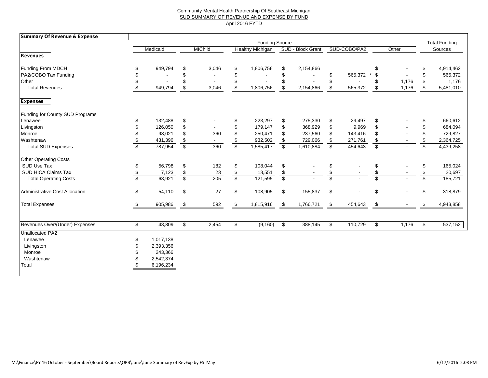### Community Mental Health Partnership Of Southeast Michigan SUD SUMMARY OF REVENUE AND EXPENSE BY FUND April 2016 FYTD

| <b>Summary Of Revenue &amp; Expense</b> |                         |           |                          |       |                         |           |                          |           |                           |         |                                  |                      |                          |           |
|-----------------------------------------|-------------------------|-----------|--------------------------|-------|-------------------------|-----------|--------------------------|-----------|---------------------------|---------|----------------------------------|----------------------|--------------------------|-----------|
|                                         |                         |           | <b>Funding Source</b>    |       |                         |           |                          |           |                           |         |                                  | <b>Total Funding</b> |                          |           |
| <b>Revenues</b>                         | Medicaid                |           | <b>MIChild</b>           |       | <b>Healthy Michigan</b> |           | SUD - Block Grant        |           | SUD-COBO/PA2              |         | Other                            |                      | Sources                  |           |
|                                         |                         |           |                          |       |                         |           |                          |           |                           |         |                                  |                      |                          |           |
| Funding From MDCH                       | \$                      | 949,794   | S                        | 3,046 | \$                      | 1,806,756 | S.                       | 2,154,866 |                           |         | \$                               |                      | S                        | 4,914,462 |
| PA2/COBO Tax Funding                    | \$                      |           | \$                       |       | \$                      |           | \$                       |           | \$                        | 565,372 | \$<br>$\star$                    |                      | \$.                      | 565,372   |
| Other                                   | \$                      |           | \$                       |       | \$                      |           |                          |           | \$                        |         | \$                               | 1,176                | \$                       | 1,176     |
| <b>Total Revenues</b>                   | s)                      | 949,794   | \$                       | 3,046 | \$                      | 1,806,756 | \$                       | 2,154,866 | $\overline{\mathbf{3}}$   | 565,372 | $\overline{\boldsymbol{\theta}}$ | 1,176                | $\overline{\mathcal{S}}$ | 5,481,010 |
| <b>Expenses</b>                         |                         |           |                          |       |                         |           |                          |           |                           |         |                                  |                      |                          |           |
| <b>Funding for County SUD Programs</b>  |                         |           |                          |       |                         |           |                          |           |                           |         |                                  |                      |                          |           |
| Lenawee                                 | \$                      | 132,488   | \$                       |       | S                       | 223,297   | \$                       | 275,330   | \$                        | 29,497  | \$                               |                      | \$                       | 660,612   |
| Livingston                              | \$                      | 126,050   | \$                       |       | \$                      | 179,147   | \$                       | 368,929   | \$                        | 9,969   | \$                               |                      | \$                       | 684,094   |
| Monroe                                  | \$                      | 98,021    | \$                       | 360   | \$                      | 250,471   | \$                       | 237,560   | \$                        | 143,416 | \$                               |                      | \$                       | 729,827   |
| Washtenaw                               | \$                      | 431,396   | \$                       |       | \$                      | 932,502   | \$                       | 729,066   | \$                        | 271,761 | \$                               |                      | \$                       | 2,364,725 |
| <b>Total SUD Expenses</b>               | \$                      | 787,954   | $\overline{\mathcal{F}}$ | 360   | \$                      | 1,585,417 | $\sqrt[6]{2}$            | 1,610,884 | $\boldsymbol{\mathsf{S}}$ | 454,643 | $\overline{\mathcal{L}}$         |                      | \$                       | 4,439,258 |
| <b>Other Operating Costs</b>            |                         |           |                          |       |                         |           |                          |           |                           |         |                                  |                      |                          |           |
| SUD Use Tax                             | \$                      | 56,798    | \$                       | 182   | \$                      | 108,044   | \$                       |           | \$                        |         | \$                               |                      | \$                       | 165,024   |
| SUD HICA Claims Tax                     | \$                      | 7,123     | \$                       | 23    | \$                      | 13,551    | \$                       |           | \$                        |         | \$                               |                      | \$                       | 20,697    |
| <b>Total Operating Costs</b>            | $\overline{\mathbf{s}}$ | 63,921    | $\overline{\mathcal{S}}$ | 205   | $\overline{\mathbb{S}}$ | 121,595   | $\overline{\mathcal{S}}$ |           | $\overline{\mathbb{S}}$   |         | $\overline{\mathbb{S}}$          |                      | \$                       | 185,721   |
| Administrative Cost Allocation          | \$                      | 54,110    | \$                       | 27    | \$                      | 108,905   | -\$                      | 155,837   | \$                        |         | \$                               |                      | -S                       | 318,879   |
| <b>Total Expenses</b>                   | \$                      | 905,986   | \$                       | 592   | \$                      | 1,815,916 | \$                       | 1,766,721 | \$                        | 454,643 | \$                               |                      | \$                       | 4,943,858 |
|                                         |                         |           |                          |       |                         |           |                          |           |                           |         |                                  |                      |                          |           |
| Revenues Over/(Under) Expenses          | \$                      | 43,809    | \$                       | 2,454 | \$                      | (9, 160)  | \$                       | 388,145   | \$                        | 110,729 | \$                               | 1,176                | \$                       | 537,152   |
| <b>Unallocated PA2</b>                  |                         |           |                          |       |                         |           |                          |           |                           |         |                                  |                      |                          |           |
| Lenawee                                 | \$                      | 1,017,138 |                          |       |                         |           |                          |           |                           |         |                                  |                      |                          |           |
| Livingston                              | \$                      | 2,393,356 |                          |       |                         |           |                          |           |                           |         |                                  |                      |                          |           |
| Monroe                                  |                         | 243,366   |                          |       |                         |           |                          |           |                           |         |                                  |                      |                          |           |
| Washtenaw                               |                         | 2,542,374 |                          |       |                         |           |                          |           |                           |         |                                  |                      |                          |           |
| Total                                   | \$                      | 6,196,234 |                          |       |                         |           |                          |           |                           |         |                                  |                      |                          |           |
|                                         |                         |           |                          |       |                         |           |                          |           |                           |         |                                  |                      |                          |           |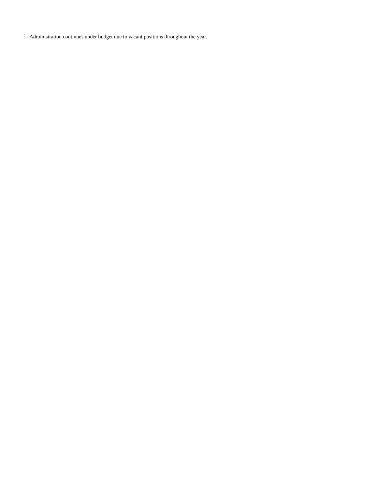f - Administration continues under budget due to vacant positions throughout the year.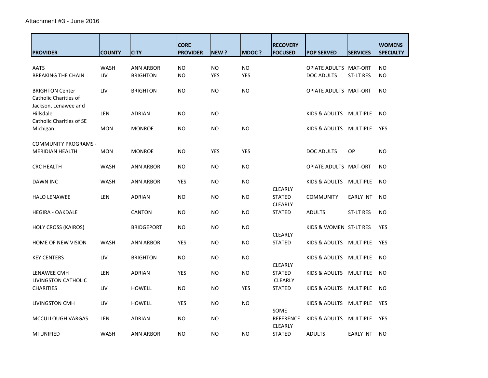| <b>PROVIDER</b>                                                         | <b>COUNTY</b>      | <b>CITY</b>                         | <b>CORE</b><br><b>PROVIDER</b> | NEW?                    | <b>MDOC?</b>            | <b>RECOVERY</b><br><b>FOCUSED</b>  | <b>POP SERVED</b>                          | <b>SERVICES</b>  | <b>WOMENS</b><br><b>SPECIALTY</b> |
|-------------------------------------------------------------------------|--------------------|-------------------------------------|--------------------------------|-------------------------|-------------------------|------------------------------------|--------------------------------------------|------------------|-----------------------------------|
| <b>AATS</b><br><b>BREAKING THE CHAIN</b>                                | <b>WASH</b><br>LIV | <b>ANN ARBOR</b><br><b>BRIGHTON</b> | <b>NO</b><br><b>NO</b>         | <b>NO</b><br><b>YES</b> | <b>NO</b><br><b>YES</b> |                                    | OPIATE ADULTS MAT-ORT<br><b>DOC ADULTS</b> | <b>ST-LT RES</b> | <b>NO</b><br><b>NO</b>            |
| <b>BRIGHTON Center</b><br>Catholic Charities of<br>Jackson, Lenawee and | LIV                | <b>BRIGHTON</b>                     | <b>NO</b>                      | <b>NO</b>               | <b>NO</b>               |                                    | OPIATE ADULTS MAT-ORT                      |                  | <b>NO</b>                         |
| Hillsdale<br><b>Catholic Charities of SE</b>                            | LEN                | ADRIAN                              | <b>NO</b>                      | <b>NO</b>               |                         |                                    | KIDS & ADULTS MULTIPLE                     |                  | <b>NO</b>                         |
| Michigan                                                                | <b>MON</b>         | <b>MONROE</b>                       | <b>NO</b>                      | <b>NO</b>               | <b>NO</b>               |                                    | KIDS & ADULTS MULTIPLE                     |                  | <b>YES</b>                        |
| <b>COMMUNITY PROGRAMS -</b><br><b>MERIDIAN HEALTH</b>                   | <b>MON</b>         | <b>MONROE</b>                       | NO                             | YES                     | <b>YES</b>              |                                    | DOC ADULTS                                 | <b>OP</b>        | NO.                               |
| <b>CRC HEALTH</b>                                                       | <b>WASH</b>        | ANN ARBOR                           | <b>NO</b>                      | NO                      | <b>NO</b>               |                                    | <b>OPIATE ADULTS MAT-ORT</b>               |                  | NO.                               |
| DAWN INC                                                                | <b>WASH</b>        | <b>ANN ARBOR</b>                    | YES                            | <b>NO</b>               | <b>NO</b>               | <b>CLEARLY</b>                     | KIDS & ADULTS                              | MULTIPLE         | <b>NO</b>                         |
| <b>HALO LENAWEE</b>                                                     | LEN                | <b>ADRIAN</b>                       | <b>NO</b>                      | <b>NO</b>               | <b>NO</b>               | <b>STATED</b><br>CLEARLY           | <b>COMMUNITY</b>                           | <b>EARLY INT</b> | <b>NO</b>                         |
| <b>HEGIRA - OAKDALE</b>                                                 |                    | <b>CANTON</b>                       | <b>NO</b>                      | <b>NO</b>               | NO                      | <b>STATED</b>                      | <b>ADULTS</b>                              | <b>ST-LT RES</b> | <b>NO</b>                         |
| <b>HOLY CROSS (KAIROS)</b>                                              |                    | <b>BRIDGEPORT</b>                   | <b>NO</b>                      | <b>NO</b>               | <b>NO</b>               | <b>CLEARLY</b>                     | KIDS & WOMEN ST-LT RES                     |                  | <b>YES</b>                        |
| HOME OF NEW VISION                                                      | <b>WASH</b>        | <b>ANN ARBOR</b>                    | YES                            | <b>NO</b>               | <b>NO</b>               | <b>STATED</b>                      | KIDS & ADULTS MULTIPLE                     |                  | <b>YES</b>                        |
| <b>KEY CENTERS</b>                                                      | LIV                | <b>BRIGHTON</b>                     | <b>NO</b>                      | <b>NO</b>               | <b>NO</b>               | <b>CLEARLY</b>                     | KIDS & ADULTS                              | MULTIPLE         | NO.                               |
| LENAWEE CMH<br>LIVINGSTON CATHOLIC                                      | LEN                | ADRIAN                              | YES                            | <b>NO</b>               | NO                      | <b>STATED</b><br><b>CLEARLY</b>    | KIDS & ADULTS                              | MULTIPLE         | NO.                               |
| <b>CHARITIES</b>                                                        | LIV                | <b>HOWELL</b>                       | <b>NO</b>                      | <b>NO</b>               | <b>YES</b>              | <b>STATED</b>                      | KIDS & ADULTS                              | MULTIPLE         | NO.                               |
| <b>LIVINGSTON CMH</b>                                                   | LIV                | <b>HOWELL</b>                       | <b>YES</b>                     | <b>NO</b>               | <b>NO</b>               | SOME                               | KIDS & ADULTS                              | MULTIPLE         | <b>YES</b>                        |
| MCCULLOUGH VARGAS                                                       | LEN                | <b>ADRIAN</b>                       | <b>NO</b>                      | NO                      |                         | <b>REFERENCE</b><br><b>CLEARLY</b> | KIDS & ADULTS                              | MULTIPLE         | <b>YES</b>                        |
| <b>MI UNIFIED</b>                                                       | WASH               | <b>ANN ARBOR</b>                    | NO                             | <b>NO</b>               | <b>NO</b>               | <b>STATED</b>                      | <b>ADULTS</b>                              | <b>EARLY INT</b> | NO.                               |